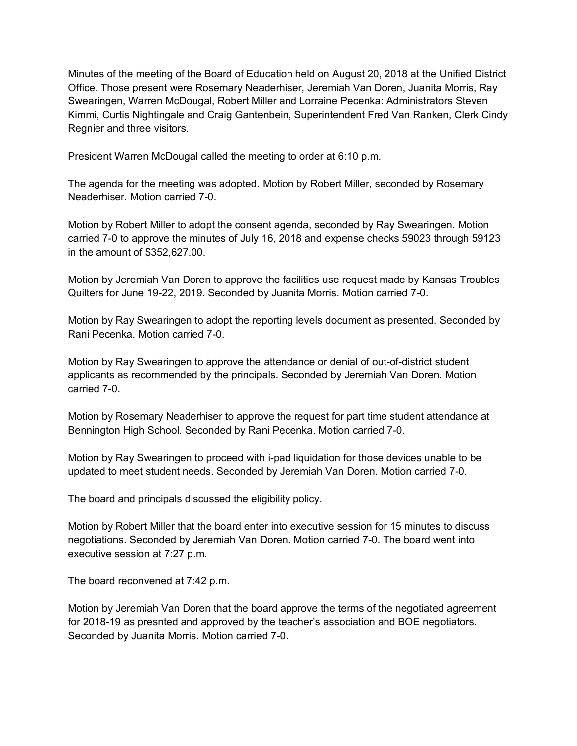Minutes of the meeting of the Board of Education held on August 20, 2018 at the Unified District Office. Those present were Rosemary Neaderhiser, Jeremiah Van Doren, Juanita Morris, Ray Swearingen, Warren McDougal, Robert Miller and Lorraine Pecenka: Administrators Steven Kimmi, Curtis Nightingale and Craig Gantenbein, Superintendent Fred Van Ranken, Clerk Cindy Regnier and three visitors.

President Warren McDougal called the meeting to order at 6:10 p.m.

The agenda for the meeting was adopted. Motion by Robert Miller, seconded by Rosemary Neaderhiser. Motion carried 7-0.

Motion by Robert Miller to adopt the consent agenda, seconded by Ray Swearingen. Motion carried 7-0 to approve the minutes of July 16, 2018 and expense checks 59023 through 59123 in the amount of \$352,627.00.

Motion by Jeremiah Van Doren to approve the facilities use request made by Kansas Troubles Quilters for June 19-22, 2019. Seconded by Juanita Morris. Motion carried 7-0.

Motion by Ray Swearingen to adopt the reporting levels document as presented. Seconded by Rani Pecenka. Motion carried 7-0.

Motion by Ray Swearingen to approve the attendance or denial of out-of-district student applicants as recommended by the principals. Seconded by Jeremiah Van Doren. Motion carried 7-0.

Motion by Rosemary Neaderhiser to approve the request for part time student attendance at Bennington High School. Seconded by Rani Pecenka. Motion carried 7-0.

Motion by Ray Swearingen to proceed with i-pad liquidation for those devices unable to be updated to meet student needs. Seconded by Jeremiah Van Doren. Motion carried 7-0.

The board and principals discussed the eligibility policy.

Motion by Robert Miller that the board enter into executive session for 15 minutes to discuss negotiations. Seconded by Jeremiah Van Doren. Motion carried 7-0. The board went into executive session at 7:27 p.m.

The board reconvened at 7:42 p.m.

Motion by Jeremiah Van Doren that the board approve the terms of the negotiated agreement for 2018-19 as presnted and approved by the teacher's association and BOE negotiators. Seconded by Juanita Morris. Motion carried 7-0.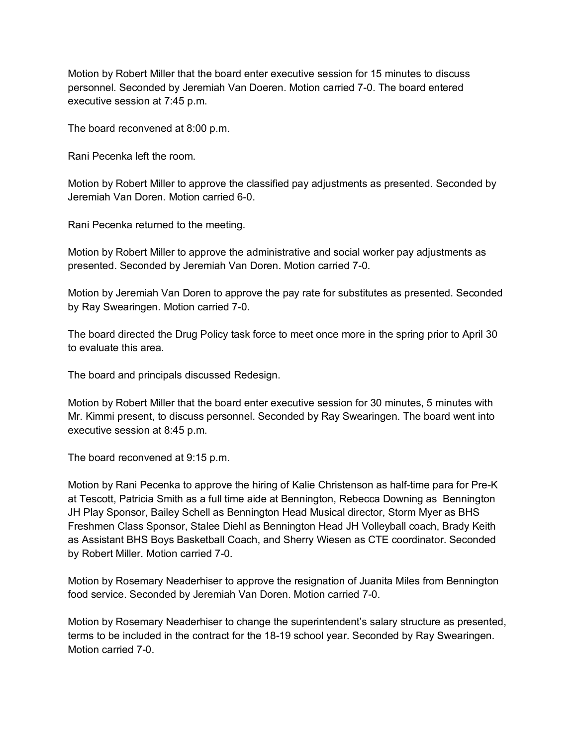Motion by Robert Miller that the board enter executive session for 15 minutes to discuss personnel. Seconded by Jeremiah Van Doeren. Motion carried 7-0. The board entered executive session at 7:45 p.m.

The board reconvened at 8:00 p.m.

Rani Pecenka left the room.

Motion by Robert Miller to approve the classified pay adjustments as presented. Seconded by Jeremiah Van Doren. Motion carried 6-0.

Rani Pecenka returned to the meeting.

Motion by Robert Miller to approve the administrative and social worker pay adjustments as presented. Seconded by Jeremiah Van Doren. Motion carried 7-0.

Motion by Jeremiah Van Doren to approve the pay rate for substitutes as presented. Seconded by Ray Swearingen. Motion carried 7-0.

The board directed the Drug Policy task force to meet once more in the spring prior to April 30 to evaluate this area.

The board and principals discussed Redesign.

Motion by Robert Miller that the board enter executive session for 30 minutes, 5 minutes with Mr. Kimmi present, to discuss personnel. Seconded by Ray Swearingen. The board went into executive session at 8:45 p.m.

The board reconvened at 9:15 p.m.

Motion by Rani Pecenka to approve the hiring of Kalie Christenson as half-time para for Pre-K at Tescott, Patricia Smith as a full time aide at Bennington, Rebecca Downing as Bennington JH Play Sponsor, Bailey Schell as Bennington Head Musical director, Storm Myer as BHS Freshmen Class Sponsor, Stalee Diehl as Bennington Head JH Volleyball coach, Brady Keith as Assistant BHS Boys Basketball Coach, and Sherry Wiesen as CTE coordinator. Seconded by Robert Miller. Motion carried 7-0.

Motion by Rosemary Neaderhiser to approve the resignation of Juanita Miles from Bennington food service. Seconded by Jeremiah Van Doren. Motion carried 7-0.

Motion by Rosemary Neaderhiser to change the superintendent's salary structure as presented, terms to be included in the contract for the 18-19 school year. Seconded by Ray Swearingen. Motion carried 7-0.